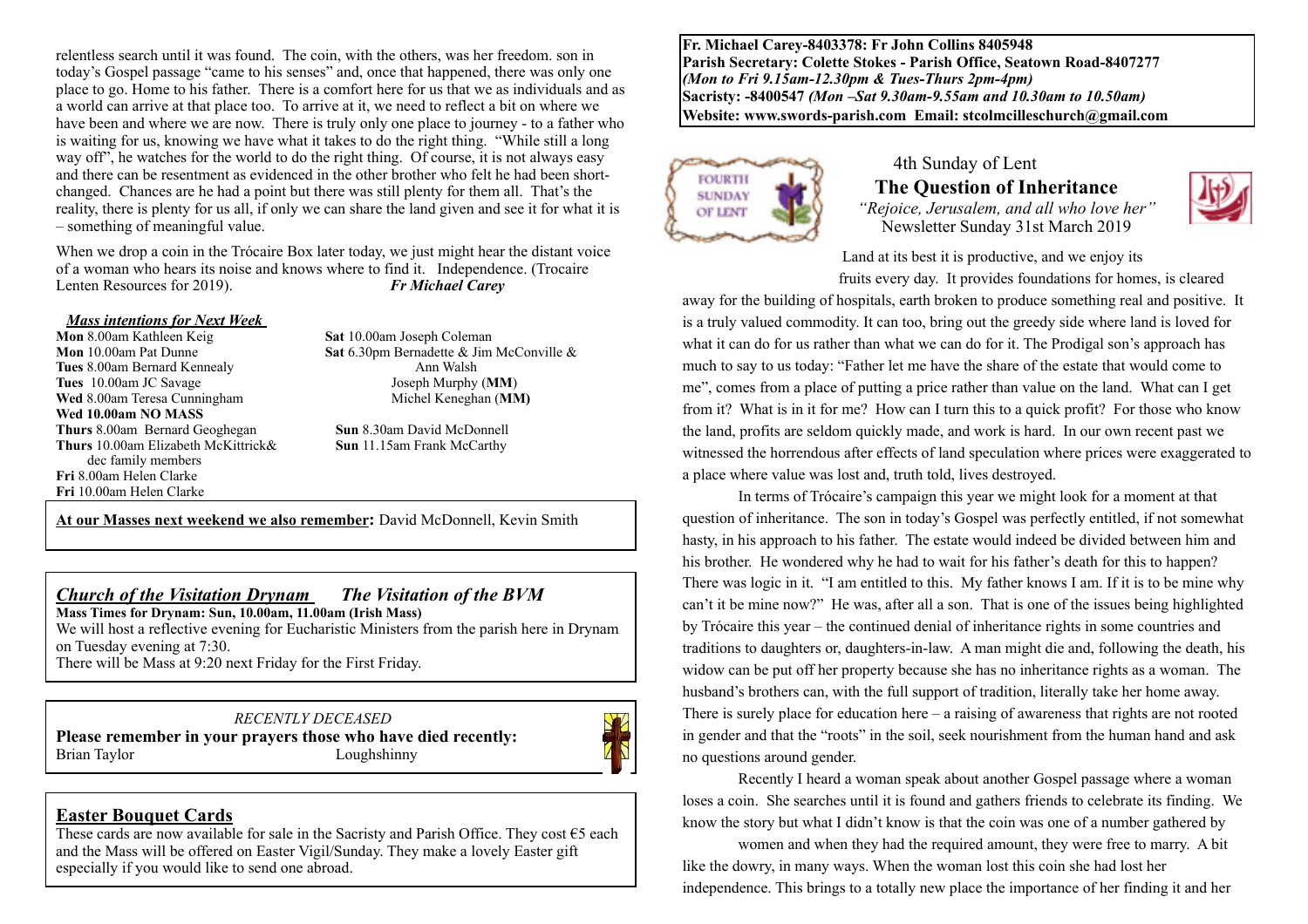relentless search until it was found. The coin, with the others, was her freedom. son in today's Gospel passage "came to his senses" and, once that happened, there was only one place to go. Home to his father. There is a comfort here for us that we as individuals and as a world can arrive at that place too. To arrive at it, we need to reflect a bit on where we have been and where we are now. There is truly only one place to journey - to a father who is waiting for us, knowing we have what it takes to do the right thing. "While still a long way off", he watches for the world to do the right thing. Of course, it is not always easy and there can be resentment as evidenced in the other brother who felt he had been shortchanged. Chances are he had a point but there was still plenty for them all. That's the reality, there is plenty for us all, if only we can share the land given and see it for what it is – something of meaningful value.

When we drop a coin in the Trócaire Box later today, we just might hear the distant voice of a woman who hears its noise and knows where to find it. Independence. (Trocaire Lenten Resources for 2019). *Fr Michael Carey*

# *Mass intentions for Next Week*

**Tues** 8.00am Bernard Kennealy **Ann Walsh Tues** 10.00am JC Savage Joseph Murphy (**MM**) **Wed** 8.00am Teresa Cunningham **Michel Keneghan (MM) Wed 10.00am NO MASS Thurs** 8.00am Bernard Geoghegan **Sun** 8.30am David McDonnell **Thurs** 10.00am Elizabeth McKittrick& **Sun** 11.15am Frank McCarthy dec family members **Fri** 8.00am Helen Clarke **Fri** 10.00am Helen Clarke

 $\overline{a}$ 

**Sat** 10.00am Joseph Coleman **Mon** 10.00am Pat Dunne **Sat** 6.30pm Bernadette & Jim McConville &

**At our Masses next weekend we also remember:** David McDonnell, Kevin Smith

#### *Church of the Visitation Drynam**The Visitation of the BVM*

**Mass Times for Drynam: Sun, 10.00am, 11.00am (Irish Mass)** 

We will host a reflective evening for Eucharistic Ministers from the parish here in Drynam on Tuesday evening at 7:30.

There will be Mass at 9:20 next Friday for the First Friday.

#### *RECENTLY DECEASED*

**Please remember in your prayers those who have died recently:** Brian Taylor Loughshinny



#### **Easter Bouquet Cards**

These cards are now available for sale in the Sacristy and Parish Office. They cost  $\epsilon$ 5 each and the Mass will be offered on Easter Vigil/Sunday. They make a lovely Easter gift especially if you would like to send one abroad.

**Fr. Michael Carey-8403378: Fr John Collins 8405948 Parish Secretary: Colette Stokes - Parish Office, Seatown Road-8407277**  *(Mon to Fri 9.15am-12.30pm & Tues-Thurs 2pm-4pm)*  **Sacristy: -8400547** *(Mon –Sat 9.30am-9.55am and 10.30am to 10.50am)* **Website: [www.swords-parish.com Email:](http://www.swords-parish.com%20%20email) stcolmcilleschurch@gmail.com**



#### 4th Sunday of Lent  **The Question of Inheritance** *"Rejoice, Jerusalem, and all who love her"*  Newsletter Sunday 31st March 2019



Land at its best it is productive, and we enjoy its

fruits every day. It provides foundations for homes, is cleared

away for the building of hospitals, earth broken to produce something real and positive. It is a truly valued commodity. It can too, bring out the greedy side where land is loved for what it can do for us rather than what we can do for it. The Prodigal son's approach has much to say to us today: "Father let me have the share of the estate that would come to me", comes from a place of putting a price rather than value on the land. What can I get from it? What is in it for me? How can I turn this to a quick profit? For those who know the land, profits are seldom quickly made, and work is hard. In our own recent past we witnessed the horrendous after effects of land speculation where prices were exaggerated to a place where value was lost and, truth told, lives destroyed.

In terms of Trócaire's campaign this year we might look for a moment at that question of inheritance. The son in today's Gospel was perfectly entitled, if not somewhat hasty, in his approach to his father. The estate would indeed be divided between him and his brother. He wondered why he had to wait for his father's death for this to happen? There was logic in it. "I am entitled to this. My father knows I am. If it is to be mine why can't it be mine now?" He was, after all a son. That is one of the issues being highlighted by Trócaire this year – the continued denial of inheritance rights in some countries and traditions to daughters or, daughters-in-law. A man might die and, following the death, his widow can be put off her property because she has no inheritance rights as a woman. The husband's brothers can, with the full support of tradition, literally take her home away. There is surely place for education here – a raising of awareness that rights are not rooted in gender and that the "roots" in the soil, seek nourishment from the human hand and ask no questions around gender.

Recently I heard a woman speak about another Gospel passage where a woman loses a coin. She searches until it is found and gathers friends to celebrate its finding. We know the story but what I didn't know is that the coin was one of a number gathered by

women and when they had the required amount, they were free to marry. A bit like the dowry, in many ways. When the woman lost this coin she had lost her independence. This brings to a totally new place the importance of her finding it and her